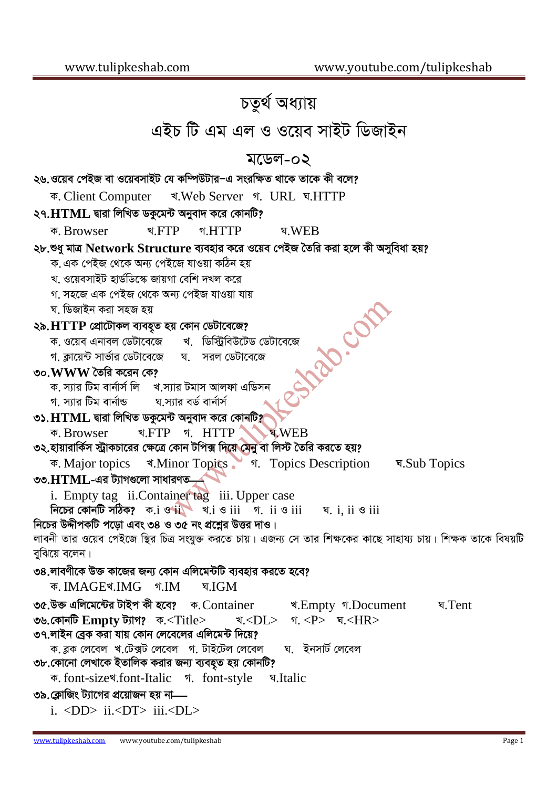চতুৰ্থ অধ্যায় এইচ টি এম এল ও ওয়েব সাইট ডিজাইন মডেল-০২ ২৬.ওয়েব পেইজ বা ওয়েবসাইট যে কম্পিউটার–এ সংরক্ষিত থাকে তাকে কী বলে? र Web Server १. URL ब.HTTP ক. Client Computer ২৭. $HTML$  দ্বারা লিখিত ডকুমেন্ট অনুবাদ করে কোনটি? <u>र</u>:FTP গ HTTP घ.WEB ক, Browser ২৮.শুধু মাত্র Network Structure ব্যবহার করে ওয়েব পেইজ তৈরি করা হলে কী অসবিধা হয়? ক. এক পেইজ থেকে অন্য পেইজে যাওয়া কঠিন হয় খ ওয়েবসাইট হার্ডডিস্কে জায়গা বেশি দখল করে গ, সহজে এক পেইজ থেকে অন্য পেইজ যাওয়া যায় **PROCES** ঘ. ডিজাইন করা সহজ হয় ২৯. HTTP প্রোটোকল ব্যবহৃত হয় কোন ডেটাবেজে? ক. ওয়েব এনাবল ডেটাবেজে খ. ডিস্ট্রিবিউটেড ডেটাবেজে ঘ সরল ডেটাবেজে গ. ক্লায়েন্ট সার্ভার ডেটাবেজে ৩০. $WWW$  তৈরি করেন কে? ক, স্যার টিম বার্নার্স লি খ স্যার টমাস আলফা এডিসন ঘ সাার বর্ড বার্নার্স গ সার টিম বার্নান্ড ৩১. $\bf{HTML}$  দ্বারা লিখিত ডকুমেন্ট অনুবাদ করে কোনটি? ক. Browser र FTP ग. HTTP **WEB** ৩২.হায়ারার্কিস স্ট্রাকচারের ক্ষেত্রে কোন টপিক্স দিয়ে মেনু বা লিস্ট তৈরি করতে হয়? र Minor Topics , ज. Topics Description प.Sub Topics ক. Major topics ৩৩. $HTML$ -এর ট্যাগগুলো সাধারণত $$ i. Empty tag ii. Container tag iii. Upper case নিচের কোনটি সঠিক? ক. $i \circ ii \circ ii$  খ. $i \circ iii \circ ii$  গ. ii ও iii ঘ. i, ii ও iii নিচের উদ্দীপকটি পড়ো এবং ৩৪ ও ৩৫ নং প্রশ্নের উত্তর দাও। লাবনী তার ওয়েব পেইজে স্থির চিত্র সংযুক্ত করতে চায়। এজন্য সে তার শিক্ষকের কাছে সাহায্য চায়। শিক্ষক তাকে বিষয়টি বুঝিয়ে বলেন। ৩৪.লাবণীকে উক্ত কাজের জন্য কোন এলিমেন্টটি ব্যবহার করতে হবে? ক. IMAGEখ.IMG গ.IM ঘ.IGM ৩৫.উক্ত এলিমেন্টের টাইপ কী হবে? ক. Container খ. Empty গ. Document घ. Tent ৩৬.কোনটি  $\bf Empty$  ট্যাগ? ক.<Title> খ.<DI >  $\text{I} \leq P$ > घ $\leq$ HR> ৩৭.লাইন ব্রেক করা যায় কোন লেবেলের এলিমেন্ট দিয়ে? ক ব্লক লেবেল খ.টেক্সট লেবেল গ. টাইটেল লেবেল ঘ. ইনসার্ট লেবেল ৩৮.কোনো লেখাকে ইতালিক করার জন্য ব্যবহৃত হয় কোনটি? ক. font-size \*. font-Italic গ. font-style ঘ.Italic ৩৯.ক্লোজিং ট্যাগের প্রয়োজন হয় না  $i.$  <DD>  $ii$ <DT>  $iii$ <DL>